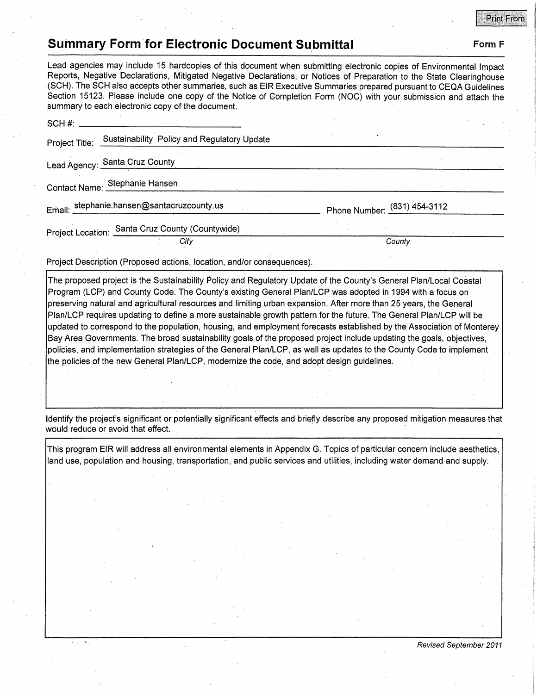## **Print From**

## **Summary Form for Electronic Document Submittal Form F Form F CONTEX FORM F CONTEXT**

Lead agencies may include 15 hardcopies of this document when submitting electronic copies of Environmental Impact Reports, Negative Declarations, Mitigated Negative Declarations, or Notices of Preparation to the State Clearinghouse (SCH). The SCH also accepts other summaries, such as EIR Executive Summaries prepared pursuant to CEQA Guidel'ines Section 15123. Please include one copy of the Notice of Completion Form (NOC) with your submission and attach the summary to each electronic copy of the document. SCH#: \_\_\_\_\_\_\_\_\_\_\_\_\_ \_ Project Title: Sustainability Policy and Regulatory Update Lead Agency: Santa Cruz County Contact Name: Stephanie Hansen Email: stephanie.hansen@santacruzcounty.us<br>
Phone Number: <sup>831</sup> ) 454- 3112 Project Location: Santa Cruz County (Countywide)

and County County County County County County

Project Description (Proposed actions, location, and/or consequences).

The proposed project is the Sustainability Policy and Regulatory Update of the County's General Plan/Local Coastal Program (LCP) and County Code. The County's existing General Plan/LCP was adopted in 1994 with a focus on preserving natural and agricultural resources and limiting urban expansion. After more than 25 years, the General Plan/LCP requires updating to define a more sustainable growth pattern for the future. The General Plan/LCP will be updated to correspond to the population, housing, and employment forecasts established by the Association of Monterey Bay Area Governments. The broad sustainability goals of the proposed project include updating the goals, objectives, policies, and implementation strategies of the General Plan/LCP, as well as updates to the County Code. to implement the policies of the. new General Plan/LCP, modernize the code, and adopt design guidelines.

Identify the project's significant or potentially significant effects and briefly describe any proposed mitigation measures that would reduce or avoid that effect.

This program EIR will address all environmental elements in Appendix G. Topics of particular concern include aesthetics, land use, population and housing, transportation, and public services and utilities, including water demand and supply.